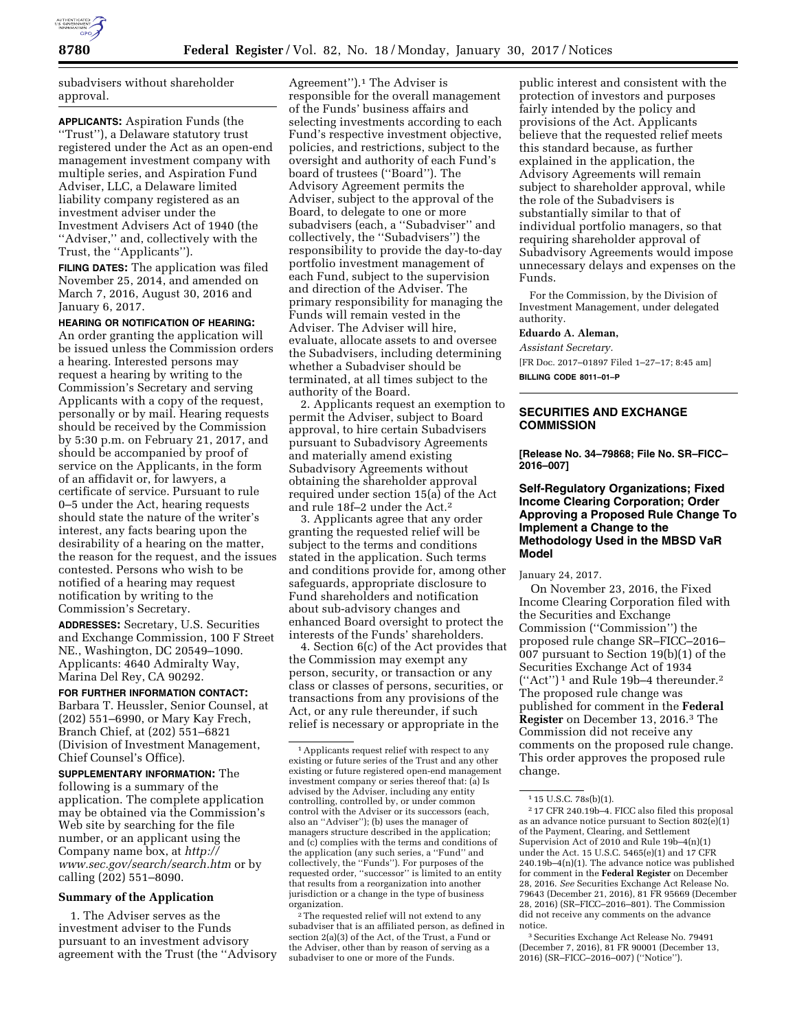

subadvisers without shareholder approval.

**APPLICANTS:** Aspiration Funds (the ''Trust''), a Delaware statutory trust registered under the Act as an open-end management investment company with multiple series, and Aspiration Fund Adviser, LLC, a Delaware limited liability company registered as an investment adviser under the Investment Advisers Act of 1940 (the ''Adviser,'' and, collectively with the Trust, the ''Applicants'').

**FILING DATES:** The application was filed November 25, 2014, and amended on March 7, 2016, August 30, 2016 and January 6, 2017.

### **HEARING OR NOTIFICATION OF HEARING:**

An order granting the application will be issued unless the Commission orders a hearing. Interested persons may request a hearing by writing to the Commission's Secretary and serving Applicants with a copy of the request, personally or by mail. Hearing requests should be received by the Commission by 5:30 p.m. on February 21, 2017, and should be accompanied by proof of service on the Applicants, in the form of an affidavit or, for lawyers, a certificate of service. Pursuant to rule 0–5 under the Act, hearing requests should state the nature of the writer's interest, any facts bearing upon the desirability of a hearing on the matter, the reason for the request, and the issues contested. Persons who wish to be notified of a hearing may request notification by writing to the Commission's Secretary.

**ADDRESSES:** Secretary, U.S. Securities and Exchange Commission, 100 F Street NE., Washington, DC 20549–1090. Applicants: 4640 Admiralty Way, Marina Del Rey, CA 90292.

### **FOR FURTHER INFORMATION CONTACT:**

Barbara T. Heussler, Senior Counsel, at (202) 551–6990, or Mary Kay Frech, Branch Chief, at (202) 551–6821 (Division of Investment Management, Chief Counsel's Office).

**SUPPLEMENTARY INFORMATION:** The following is a summary of the application. The complete application may be obtained via the Commission's Web site by searching for the file number, or an applicant using the Company name box, at *[http://](http://www.sec.gov/search/search.htm) [www.sec.gov/search/search.htm](http://www.sec.gov/search/search.htm)* or by calling (202) 551–8090.

#### **Summary of the Application**

1. The Adviser serves as the investment adviser to the Funds pursuant to an investment advisory agreement with the Trust (the ''Advisory

Agreement'').1 The Adviser is responsible for the overall management of the Funds' business affairs and selecting investments according to each Fund's respective investment objective, policies, and restrictions, subject to the oversight and authority of each Fund's board of trustees (''Board''). The Advisory Agreement permits the Adviser, subject to the approval of the Board, to delegate to one or more subadvisers (each, a ''Subadviser'' and collectively, the ''Subadvisers'') the responsibility to provide the day-to-day portfolio investment management of each Fund, subject to the supervision and direction of the Adviser. The primary responsibility for managing the Funds will remain vested in the Adviser. The Adviser will hire, evaluate, allocate assets to and oversee the Subadvisers, including determining whether a Subadviser should be terminated, at all times subject to the authority of the Board.

2. Applicants request an exemption to permit the Adviser, subject to Board approval, to hire certain Subadvisers pursuant to Subadvisory Agreements and materially amend existing Subadvisory Agreements without obtaining the shareholder approval required under section 15(a) of the Act and rule 18f–2 under the Act.2

3. Applicants agree that any order granting the requested relief will be subject to the terms and conditions stated in the application. Such terms and conditions provide for, among other safeguards, appropriate disclosure to Fund shareholders and notification about sub-advisory changes and enhanced Board oversight to protect the interests of the Funds' shareholders.

4. Section 6(c) of the Act provides that the Commission may exempt any person, security, or transaction or any class or classes of persons, securities, or transactions from any provisions of the Act, or any rule thereunder, if such relief is necessary or appropriate in the

2The requested relief will not extend to any subadviser that is an affiliated person, as defined in section 2(a)(3) of the Act, of the Trust, a Fund or the Adviser, other than by reason of serving as a subadviser to one or more of the Funds.

public interest and consistent with the protection of investors and purposes fairly intended by the policy and provisions of the Act. Applicants believe that the requested relief meets this standard because, as further explained in the application, the Advisory Agreements will remain subject to shareholder approval, while the role of the Subadvisers is substantially similar to that of individual portfolio managers, so that requiring shareholder approval of Subadvisory Agreements would impose unnecessary delays and expenses on the Funds.

For the Commission, by the Division of Investment Management, under delegated authority.

#### **Eduardo A. Aleman,**

*Assistant Secretary.*  [FR Doc. 2017–01897 Filed 1–27–17; 8:45 am] **BILLING CODE 8011–01–P** 

### **SECURITIES AND EXCHANGE COMMISSION**

**[Release No. 34–79868; File No. SR–FICC– 2016–007]** 

## **Self-Regulatory Organizations; Fixed Income Clearing Corporation; Order Approving a Proposed Rule Change To Implement a Change to the Methodology Used in the MBSD VaR Model**

January 24, 2017.

On November 23, 2016, the Fixed Income Clearing Corporation filed with the Securities and Exchange Commission (''Commission'') the proposed rule change SR–FICC–2016– 007 pursuant to Section 19(b)(1) of the Securities Exchange Act of 1934 (''Act'') 1 and Rule 19b–4 thereunder.2 The proposed rule change was published for comment in the **Federal Register** on December 13, 2016.3 The Commission did not receive any comments on the proposed rule change. This order approves the proposed rule change.

3Securities Exchange Act Release No. 79491 (December 7, 2016), 81 FR 90001 (December 13, 2016) (SR–FICC–2016–007) (''Notice'').

<sup>1</sup>Applicants request relief with respect to any existing or future series of the Trust and any other existing or future registered open-end management investment company or series thereof that: (a) Is advised by the Adviser, including any entity controlling, controlled by, or under common control with the Adviser or its successors (each, also an ''Adviser''); (b) uses the manager of managers structure described in the application; and (c) complies with the terms and conditions of the application (any such series, a ''Fund'' and collectively, the ''Funds''). For purposes of the requested order, ''successor'' is limited to an entity that results from a reorganization into another jurisdiction or a change in the type of business organization.

<sup>1</sup> 15 U.S.C. 78s(b)(1).

<sup>2</sup> 17 CFR 240.19b–4. FICC also filed this proposal as an advance notice pursuant to Section 802(e)(1) of the Payment, Clearing, and Settlement Supervision Act of 2010 and Rule 19b–4(n)(1) under the Act. 15 U.S.C. 5465(e)(1) and 17 CFR 240.19b–4(n)(1). The advance notice was published for comment in the **Federal Register** on December 28, 2016. *See* Securities Exchange Act Release No. 79643 (December 21, 2016), 81 FR 95669 (December 28, 2016) (SR–FICC–2016–801). The Commission did not receive any comments on the advance notice.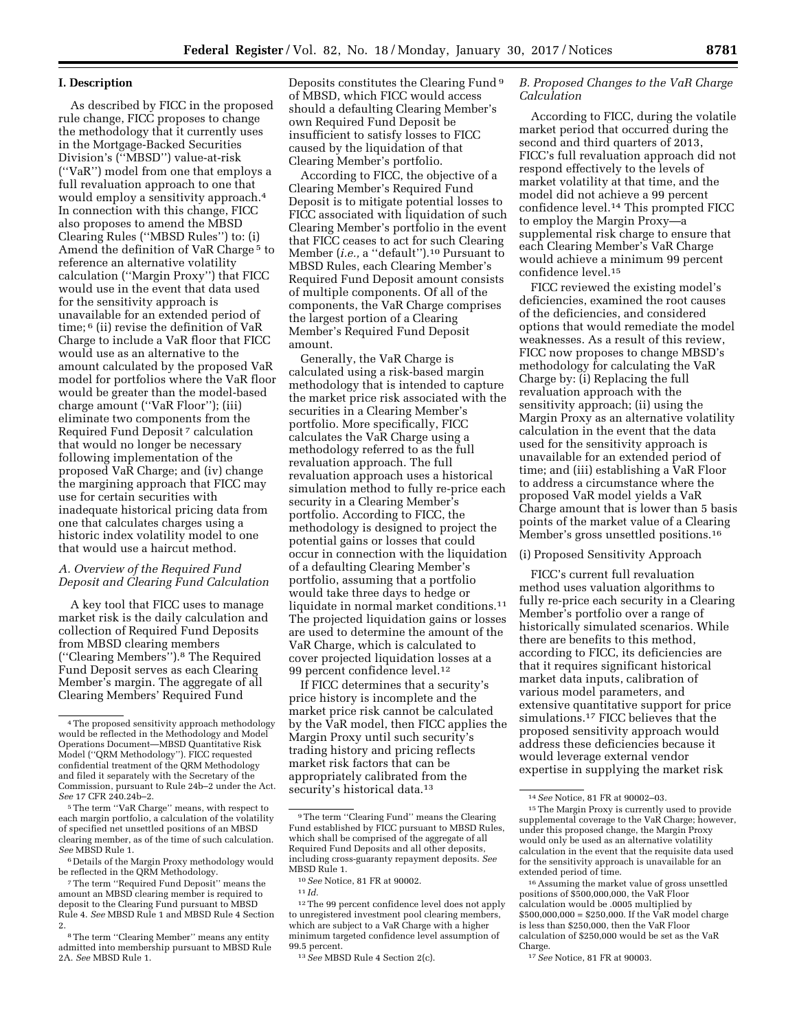## **I. Description**

As described by FICC in the proposed rule change, FICC proposes to change the methodology that it currently uses in the Mortgage-Backed Securities Division's (''MBSD'') value-at-risk (''VaR'') model from one that employs a full revaluation approach to one that would employ a sensitivity approach.4 In connection with this change, FICC also proposes to amend the MBSD Clearing Rules (''MBSD Rules'') to: (i) Amend the definition of VaR Charge<sup>5</sup> to reference an alternative volatility calculation (''Margin Proxy'') that FICC would use in the event that data used for the sensitivity approach is unavailable for an extended period of time; 6 (ii) revise the definition of VaR Charge to include a VaR floor that FICC would use as an alternative to the amount calculated by the proposed VaR model for portfolios where the VaR floor would be greater than the model-based charge amount (''VaR Floor''); (iii) eliminate two components from the Required Fund Deposit 7 calculation that would no longer be necessary following implementation of the proposed VaR Charge; and (iv) change the margining approach that FICC may use for certain securities with inadequate historical pricing data from one that calculates charges using a historic index volatility model to one that would use a haircut method.

## *A. Overview of the Required Fund Deposit and Clearing Fund Calculation*

A key tool that FICC uses to manage market risk is the daily calculation and collection of Required Fund Deposits from MBSD clearing members (''Clearing Members'').8 The Required Fund Deposit serves as each Clearing Member's margin. The aggregate of all Clearing Members' Required Fund

Deposits constitutes the Clearing Fund 9 of MBSD, which FICC would access should a defaulting Clearing Member's own Required Fund Deposit be insufficient to satisfy losses to FICC caused by the liquidation of that Clearing Member's portfolio.

According to FICC, the objective of a Clearing Member's Required Fund Deposit is to mitigate potential losses to FICC associated with liquidation of such Clearing Member's portfolio in the event that FICC ceases to act for such Clearing Member (*i.e.,* a ''default'').10 Pursuant to MBSD Rules, each Clearing Member's Required Fund Deposit amount consists of multiple components. Of all of the components, the VaR Charge comprises the largest portion of a Clearing Member's Required Fund Deposit amount.

Generally, the VaR Charge is calculated using a risk-based margin methodology that is intended to capture the market price risk associated with the securities in a Clearing Member's portfolio. More specifically, FICC calculates the VaR Charge using a methodology referred to as the full revaluation approach. The full revaluation approach uses a historical simulation method to fully re-price each security in a Clearing Member's portfolio. According to FICC, the methodology is designed to project the potential gains or losses that could occur in connection with the liquidation of a defaulting Clearing Member's portfolio, assuming that a portfolio would take three days to hedge or liquidate in normal market conditions.11 The projected liquidation gains or losses are used to determine the amount of the VaR Charge, which is calculated to cover projected liquidation losses at a 99 percent confidence level.12

If FICC determines that a security's price history is incomplete and the market price risk cannot be calculated by the VaR model, then FICC applies the Margin Proxy until such security's trading history and pricing reflects market risk factors that can be appropriately calibrated from the security's historical data.<sup>13</sup>

10*See* Notice, 81 FR at 90002.

## *B. Proposed Changes to the VaR Charge Calculation*

According to FICC, during the volatile market period that occurred during the second and third quarters of 2013, FICC's full revaluation approach did not respond effectively to the levels of market volatility at that time, and the model did not achieve a 99 percent confidence level.14 This prompted FICC to employ the Margin Proxy—a supplemental risk charge to ensure that each Clearing Member's VaR Charge would achieve a minimum 99 percent confidence level.15

FICC reviewed the existing model's deficiencies, examined the root causes of the deficiencies, and considered options that would remediate the model weaknesses. As a result of this review, FICC now proposes to change MBSD's methodology for calculating the VaR Charge by: (i) Replacing the full revaluation approach with the sensitivity approach; (ii) using the Margin Proxy as an alternative volatility calculation in the event that the data used for the sensitivity approach is unavailable for an extended period of time; and (iii) establishing a VaR Floor to address a circumstance where the proposed VaR model yields a VaR Charge amount that is lower than 5 basis points of the market value of a Clearing Member's gross unsettled positions.<sup>16</sup>

# (i) Proposed Sensitivity Approach

FICC's current full revaluation method uses valuation algorithms to fully re-price each security in a Clearing Member's portfolio over a range of historically simulated scenarios. While there are benefits to this method, according to FICC, its deficiencies are that it requires significant historical market data inputs, calibration of various model parameters, and extensive quantitative support for price simulations.17 FICC believes that the proposed sensitivity approach would address these deficiencies because it would leverage external vendor expertise in supplying the market risk

17*See* Notice, 81 FR at 90003.

<sup>4</sup>The proposed sensitivity approach methodology would be reflected in the Methodology and Model Operations Document—MBSD Quantitative Risk Model (''QRM Methodology''). FICC requested confidential treatment of the QRM Methodology and filed it separately with the Secretary of the Commission, pursuant to Rule 24b–2 under the Act. *See* 17 CFR 240.24b–2.

<sup>5</sup>The term ''VaR Charge'' means, with respect to each margin portfolio, a calculation of the volatility of specified net unsettled positions of an MBSD clearing member, as of the time of such calculation. *See* MBSD Rule 1.

<sup>6</sup> Details of the Margin Proxy methodology would be reflected in the QRM Methodology.

<sup>7</sup>The term ''Required Fund Deposit'' means the amount an MBSD clearing member is required to deposit to the Clearing Fund pursuant to MBSD Rule 4. *See* MBSD Rule 1 and MBSD Rule 4 Section 2.

<sup>8</sup>The term ''Clearing Member'' means any entity admitted into membership pursuant to MBSD Rule 2A. *See* MBSD Rule 1.

<sup>9</sup>The term ''Clearing Fund'' means the Clearing Fund established by FICC pursuant to MBSD Rules, which shall be comprised of the aggregate of all Required Fund Deposits and all other deposits, including cross-guaranty repayment deposits. *See*  MBSD Rule 1.

 $11$  *Id.* 

<sup>12</sup>The 99 percent confidence level does not apply to unregistered investment pool clearing members, which are subject to a VaR Charge with a higher minimum targeted confidence level assumption of 99.5 percent.

<sup>13</sup>*See* MBSD Rule 4 Section 2(c).

<sup>14</sup>*See* Notice, 81 FR at 90002–03.

<sup>15</sup>The Margin Proxy is currently used to provide supplemental coverage to the VaR Charge; however, under this proposed change, the Margin Proxy would only be used as an alternative volatility calculation in the event that the requisite data used for the sensitivity approach is unavailable for an extended period of time.

<sup>16</sup>Assuming the market value of gross unsettled positions of \$500,000,000, the VaR Floor calculation would be .0005 multiplied by \$500,000,000 = \$250,000. If the VaR model charge is less than \$250,000, then the VaR Floor calculation of \$250,000 would be set as the VaR Charge.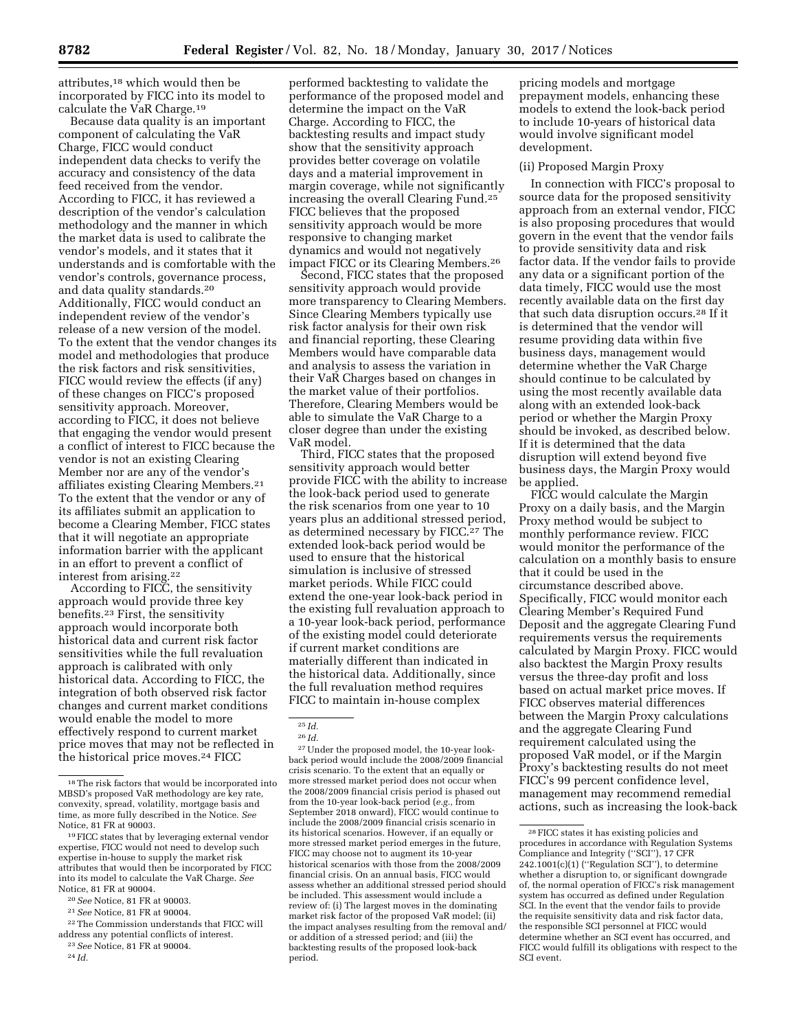attributes,18 which would then be incorporated by FICC into its model to calculate the VaR Charge.19

Because data quality is an important component of calculating the VaR Charge, FICC would conduct independent data checks to verify the accuracy and consistency of the data feed received from the vendor. According to FICC, it has reviewed a description of the vendor's calculation methodology and the manner in which the market data is used to calibrate the vendor's models, and it states that it understands and is comfortable with the vendor's controls, governance process, and data quality standards.20 Additionally, FICC would conduct an independent review of the vendor's release of a new version of the model. To the extent that the vendor changes its model and methodologies that produce the risk factors and risk sensitivities, FICC would review the effects (if any) of these changes on FICC's proposed sensitivity approach. Moreover, according to FICC, it does not believe that engaging the vendor would present a conflict of interest to FICC because the vendor is not an existing Clearing Member nor are any of the vendor's affiliates existing Clearing Members.21 To the extent that the vendor or any of its affiliates submit an application to become a Clearing Member, FICC states that it will negotiate an appropriate information barrier with the applicant in an effort to prevent a conflict of interest from arising.22

According to FICC, the sensitivity approach would provide three key benefits.23 First, the sensitivity approach would incorporate both historical data and current risk factor sensitivities while the full revaluation approach is calibrated with only historical data. According to FICC, the integration of both observed risk factor changes and current market conditions would enable the model to more effectively respond to current market price moves that may not be reflected in the historical price moves.24 FICC

24 *Id.* 

performed backtesting to validate the performance of the proposed model and determine the impact on the VaR Charge. According to FICC, the backtesting results and impact study show that the sensitivity approach provides better coverage on volatile days and a material improvement in margin coverage, while not significantly increasing the overall Clearing Fund.25 FICC believes that the proposed sensitivity approach would be more responsive to changing market dynamics and would not negatively impact FICC or its Clearing Members.26

Second, FICC states that the proposed sensitivity approach would provide more transparency to Clearing Members. Since Clearing Members typically use risk factor analysis for their own risk and financial reporting, these Clearing Members would have comparable data and analysis to assess the variation in their VaR Charges based on changes in the market value of their portfolios. Therefore, Clearing Members would be able to simulate the VaR Charge to a closer degree than under the existing VaR model.

Third, FICC states that the proposed sensitivity approach would better provide FICC with the ability to increase the look-back period used to generate the risk scenarios from one year to 10 years plus an additional stressed period, as determined necessary by FICC.<sup>27</sup> The extended look-back period would be used to ensure that the historical simulation is inclusive of stressed market periods. While FICC could extend the one-year look-back period in the existing full revaluation approach to a 10-year look-back period, performance of the existing model could deteriorate if current market conditions are materially different than indicated in the historical data. Additionally, since the full revaluation method requires FICC to maintain in-house complex

27Under the proposed model, the 10-year lookback period would include the 2008/2009 financial crisis scenario. To the extent that an equally or more stressed market period does not occur when the 2008/2009 financial crisis period is phased out from the 10-year look-back period (*e.g.,* from September 2018 onward), FICC would continue to include the 2008/2009 financial crisis scenario in its historical scenarios. However, if an equally or more stressed market period emerges in the future, FICC may choose not to augment its 10-year historical scenarios with those from the 2008/2009 financial crisis. On an annual basis, FICC would assess whether an additional stressed period should be included. This assessment would include a review of: (i) The largest moves in the dominating market risk factor of the proposed VaR model; (ii) the impact analyses resulting from the removal and/ or addition of a stressed period; and (iii) the backtesting results of the proposed look-back period.

pricing models and mortgage prepayment models, enhancing these models to extend the look-back period to include 10-years of historical data would involve significant model development.

#### (ii) Proposed Margin Proxy

In connection with FICC's proposal to source data for the proposed sensitivity approach from an external vendor, FICC is also proposing procedures that would govern in the event that the vendor fails to provide sensitivity data and risk factor data. If the vendor fails to provide any data or a significant portion of the data timely, FICC would use the most recently available data on the first day that such data disruption occurs.28 If it is determined that the vendor will resume providing data within five business days, management would determine whether the VaR Charge should continue to be calculated by using the most recently available data along with an extended look-back period or whether the Margin Proxy should be invoked, as described below. If it is determined that the data disruption will extend beyond five business days, the Margin Proxy would be applied.

FICC would calculate the Margin Proxy on a daily basis, and the Margin Proxy method would be subject to monthly performance review. FICC would monitor the performance of the calculation on a monthly basis to ensure that it could be used in the circumstance described above. Specifically, FICC would monitor each Clearing Member's Required Fund Deposit and the aggregate Clearing Fund requirements versus the requirements calculated by Margin Proxy. FICC would also backtest the Margin Proxy results versus the three-day profit and loss based on actual market price moves. If FICC observes material differences between the Margin Proxy calculations and the aggregate Clearing Fund requirement calculated using the proposed VaR model, or if the Margin Proxy's backtesting results do not meet FICC's 99 percent confidence level, management may recommend remedial actions, such as increasing the look-back

<sup>18</sup>The risk factors that would be incorporated into MBSD's proposed VaR methodology are key rate, convexity, spread, volatility, mortgage basis and time, as more fully described in the Notice. *See*  Notice, 81 FR at 90003.

<sup>19</sup>FICC states that by leveraging external vendor expertise, FICC would not need to develop such expertise in-house to supply the market risk attributes that would then be incorporated by FICC into its model to calculate the VaR Charge. *See*  Notice, 81 FR at 90004.

<sup>20</sup>*See* Notice, 81 FR at 90003.

<sup>21</sup>*See* Notice, 81 FR at 90004.

<sup>22</sup>The Commission understands that FICC will

address any potential conflicts of interest. 23*See* Notice, 81 FR at 90004.

<sup>25</sup> *Id.* 

<sup>26</sup> *Id.* 

<sup>28</sup>FICC states it has existing policies and procedures in accordance with Regulation Systems Compliance and Integrity (''SCI''), 17 CFR 242.1001(c)(1) (''Regulation SCI''), to determine whether a disruption to, or significant downgrade of, the normal operation of FICC's risk management system has occurred as defined under Regulation SCI. In the event that the vendor fails to provide the requisite sensitivity data and risk factor data, the responsible SCI personnel at FICC would determine whether an SCI event has occurred, and FICC would fulfill its obligations with respect to the SCI event.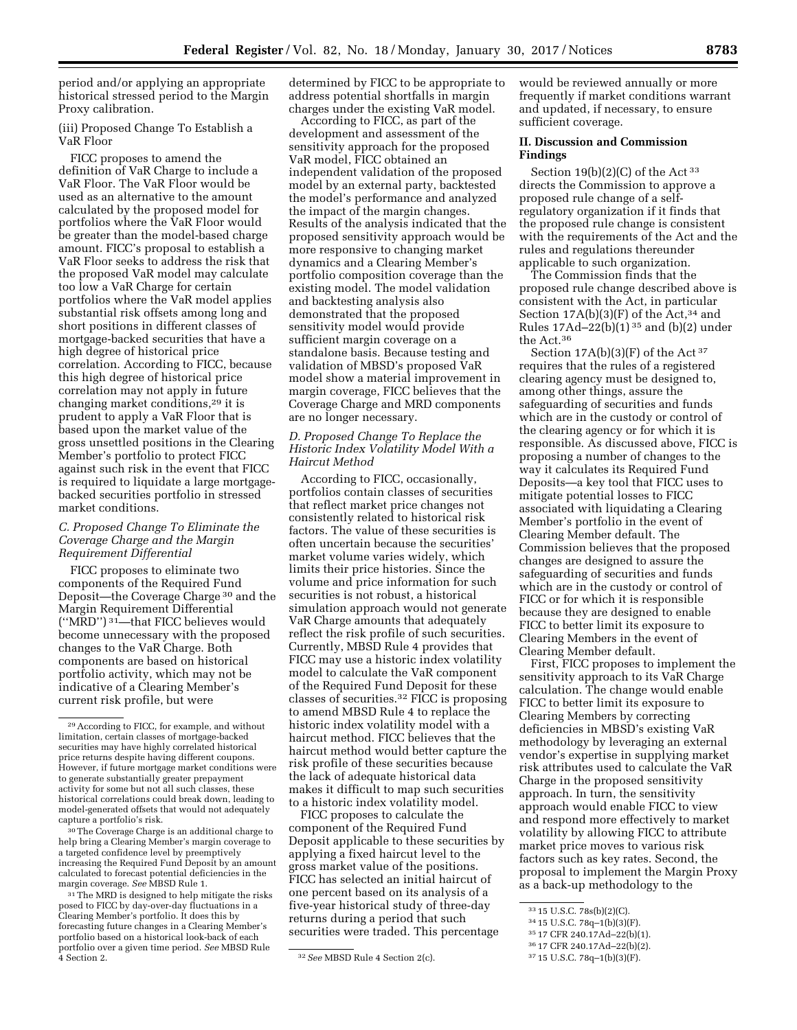period and/or applying an appropriate historical stressed period to the Margin Proxy calibration.

(iii) Proposed Change To Establish a VaR Floor

FICC proposes to amend the definition of VaR Charge to include a VaR Floor. The VaR Floor would be used as an alternative to the amount calculated by the proposed model for portfolios where the VaR Floor would be greater than the model-based charge amount. FICC's proposal to establish a VaR Floor seeks to address the risk that the proposed VaR model may calculate too low a VaR Charge for certain portfolios where the VaR model applies substantial risk offsets among long and short positions in different classes of mortgage-backed securities that have a high degree of historical price correlation. According to FICC, because this high degree of historical price correlation may not apply in future changing market conditions,29 it is prudent to apply a VaR Floor that is based upon the market value of the gross unsettled positions in the Clearing Member's portfolio to protect FICC against such risk in the event that FICC is required to liquidate a large mortgagebacked securities portfolio in stressed market conditions.

# *C. Proposed Change To Eliminate the Coverage Charge and the Margin Requirement Differential*

FICC proposes to eliminate two components of the Required Fund Deposit—the Coverage Charge 30 and the Margin Requirement Differential (''MRD'') 31—that FICC believes would become unnecessary with the proposed changes to the VaR Charge. Both components are based on historical portfolio activity, which may not be indicative of a Clearing Member's current risk profile, but were

<sup>30</sup>The Coverage Charge is an additional charge to help bring a Clearing Member's margin coverage to a targeted confidence level by preemptively increasing the Required Fund Deposit by an amount calculated to forecast potential deficiencies in the margin coverage. *See* MBSD Rule 1.

31The MRD is designed to help mitigate the risks posed to FICC by day-over-day fluctuations in a Clearing Member's portfolio. It does this by forecasting future changes in a Clearing Member's portfolio based on a historical look-back of each portfolio over a given time period. *See* MBSD Rule  $\frac{32 \text{} \text{} \text{} \text{} \text{} \text{} \text{} \text{} \text{}}{32 \text{} \text{} \text{} \text{} \text{} \text{}}$  Rule 4 Section 2(c).

determined by FICC to be appropriate to address potential shortfalls in margin charges under the existing VaR model.

According to FICC, as part of the development and assessment of the sensitivity approach for the proposed VaR model, FICC obtained an independent validation of the proposed model by an external party, backtested the model's performance and analyzed the impact of the margin changes. Results of the analysis indicated that the proposed sensitivity approach would be more responsive to changing market dynamics and a Clearing Member's portfolio composition coverage than the existing model. The model validation and backtesting analysis also demonstrated that the proposed sensitivity model would provide sufficient margin coverage on a standalone basis. Because testing and validation of MBSD's proposed VaR model show a material improvement in margin coverage, FICC believes that the Coverage Charge and MRD components are no longer necessary.

# *D. Proposed Change To Replace the Historic Index Volatility Model With a Haircut Method*

According to FICC, occasionally, portfolios contain classes of securities that reflect market price changes not consistently related to historical risk factors. The value of these securities is often uncertain because the securities' market volume varies widely, which limits their price histories. Since the volume and price information for such securities is not robust, a historical simulation approach would not generate VaR Charge amounts that adequately reflect the risk profile of such securities. Currently, MBSD Rule 4 provides that FICC may use a historic index volatility model to calculate the VaR component of the Required Fund Deposit for these classes of securities.32 FICC is proposing to amend MBSD Rule 4 to replace the historic index volatility model with a haircut method. FICC believes that the haircut method would better capture the risk profile of these securities because the lack of adequate historical data makes it difficult to map such securities to a historic index volatility model.

FICC proposes to calculate the component of the Required Fund Deposit applicable to these securities by applying a fixed haircut level to the gross market value of the positions. FICC has selected an initial haircut of one percent based on its analysis of a five-year historical study of three-day returns during a period that such securities were traded. This percentage

would be reviewed annually or more frequently if market conditions warrant and updated, if necessary, to ensure sufficient coverage.

# **II. Discussion and Commission Findings**

Section  $19(b)(2)(C)$  of the Act 33 directs the Commission to approve a proposed rule change of a selfregulatory organization if it finds that the proposed rule change is consistent with the requirements of the Act and the rules and regulations thereunder applicable to such organization.

The Commission finds that the proposed rule change described above is consistent with the Act, in particular Section  $17A(b)(3)(F)$  of the Act,<sup>34</sup> and Rules 17Ad–22(b)(1) 35 and (b)(2) under the Act.36

Section 17A(b)(3)(F) of the Act<sup>37</sup> requires that the rules of a registered clearing agency must be designed to, among other things, assure the safeguarding of securities and funds which are in the custody or control of the clearing agency or for which it is responsible. As discussed above, FICC is proposing a number of changes to the way it calculates its Required Fund Deposits—a key tool that FICC uses to mitigate potential losses to FICC associated with liquidating a Clearing Member's portfolio in the event of Clearing Member default. The Commission believes that the proposed changes are designed to assure the safeguarding of securities and funds which are in the custody or control of FICC or for which it is responsible because they are designed to enable FICC to better limit its exposure to Clearing Members in the event of Clearing Member default.

First, FICC proposes to implement the sensitivity approach to its VaR Charge calculation. The change would enable FICC to better limit its exposure to Clearing Members by correcting deficiencies in MBSD's existing VaR methodology by leveraging an external vendor's expertise in supplying market risk attributes used to calculate the VaR Charge in the proposed sensitivity approach. In turn, the sensitivity approach would enable FICC to view and respond more effectively to market volatility by allowing FICC to attribute market price moves to various risk factors such as key rates. Second, the proposal to implement the Margin Proxy as a back-up methodology to the

<sup>29</sup>According to FICC, for example, and without limitation, certain classes of mortgage-backed securities may have highly correlated historical price returns despite having different coupons. However, if future mortgage market conditions were to generate substantially greater prepayment activity for some but not all such classes, these historical correlations could break down, leading to model-generated offsets that would not adequately capture a portfolio's risk.

<sup>33</sup> 15 U.S.C. 78s(b)(2)(C).

<sup>34</sup> 15 U.S.C. 78q–1(b)(3)(F).

<sup>35</sup> 17 CFR 240.17Ad–22(b)(1).

<sup>36</sup> 17 CFR 240.17Ad–22(b)(2).

<sup>37</sup> 15 U.S.C. 78q–1(b)(3)(F).